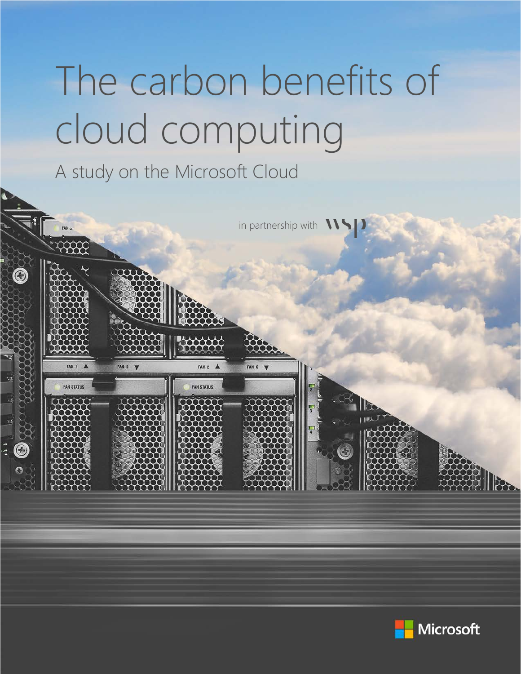# The carbon benefits of cloud computing

A study on the Microsoft Cloud



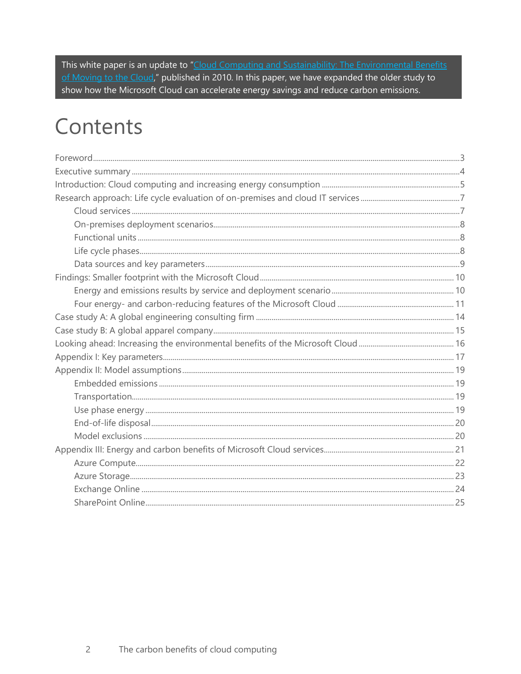This white paper is an update to "Cloud Computing and Sustainability: The Environmental Benefits of Moving to the Cloud," published in 2010. In this paper, we have expanded the older study to show how the Microsoft Cloud can accelerate energy savings and reduce carbon emissions.

### Contents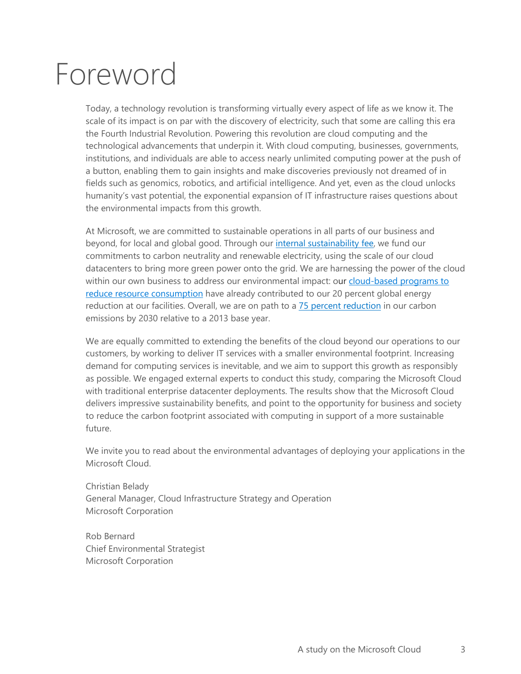## <span id="page-2-0"></span>Foreword

Today, a technology revolution is transforming virtually every aspect of life as we know it. The scale of its impact is on par with the discovery of electricity, such that some are calling this era the Fourth Industrial Revolution. Powering this revolution are cloud computing and the technological advancements that underpin it. With cloud computing, businesses, governments, institutions, and individuals are able to access nearly unlimited computing power at the push of a button, enabling them to gain insights and make discoveries previously not dreamed of in fields such as genomics, robotics, and artificial intelligence. And yet, even as the cloud unlocks humanity's vast potential, the exponential expansion of IT infrastructure raises questions about the environmental impacts from this growth.

At Microsoft, we are committed to sustainable operations in all parts of our business and beyond, for local and global good. Through our [internal sustainability](http://aka.ms/beyond) fee, we fund our commitments to carbon neutrality and renewable electricity, using the scale of our cloud datacenters to bring more green power onto the grid. We are harnessing the power of the cloud within our own business to address our environmental impact: our cloud-based programs to [reduce resource consumption](https://www.microsoft.com/en-us/stories/88acres/88-acres-how-microsoft-quietly-built-the-city-of-the-future-chapter-1.aspx) have already contributed to our 20 percent global energy reduction at our facilities. Overall, we are on path to a [75 percent reduction](https://blogs.microsoft.com/on-the-issues/2017/11/14/microsoft-pledges-cut-carbon-emissions-75-percent-2030/) in our carbon emissions by 2030 relative to a 2013 base year.

We are equally committed to extending the benefits of the cloud beyond our operations to our customers, by working to deliver IT services with a smaller environmental footprint. Increasing demand for computing services is inevitable, and we aim to support this growth as responsibly as possible. We engaged external experts to conduct this study, comparing the Microsoft Cloud with traditional enterprise datacenter deployments. The results show that the Microsoft Cloud delivers impressive sustainability benefits, and point to the opportunity for business and society to reduce the carbon footprint associated with computing in support of a more sustainable future.

We invite you to read about the environmental advantages of deploying your applications in the Microsoft Cloud.

Christian Belady General Manager, Cloud Infrastructure Strategy and Operation Microsoft Corporation

Rob Bernard Chief Environmental Strategist Microsoft Corporation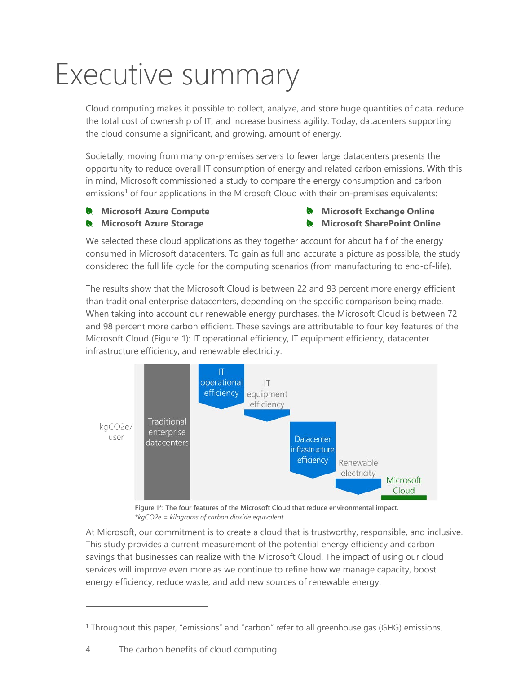## <span id="page-3-0"></span>Executive summary

Cloud computing makes it possible to collect, analyze, and store huge quantities of data, reduce the total cost of ownership of IT, and increase business agility. Today, datacenters supporting the cloud consume a significant, and growing, amount of energy.

Societally, moving from many on-premises servers to fewer large datacenters presents the opportunity to reduce overall IT consumption of energy and related carbon emissions. With this in mind, Microsoft commissioned a study to compare the energy consumption and carbon emissions<sup>[1](#page-3-2)</sup> of four applications in the Microsoft Cloud with their on-premises equivalents:

- **Microsoft Azure Compute**
- **Microsoft Azure Storage**

**Microsoft Exchange Online Microsoft SharePoint Online**

We selected these cloud applications as they together account for about half of the energy consumed in Microsoft datacenters. To gain as full and accurate a picture as possible, the study considered the full life cycle for the computing scenarios (from manufacturing to end-of-life).

The results show that the Microsoft Cloud is between 22 and 93 percent more energy efficient than traditional enterprise datacenters, depending on the specific comparison being made. When taking into account our renewable energy purchases, the Microsoft Cloud is between 72 and 98 percent more carbon efficient. These savings are attributable to four key features of the Microsoft Cloud [\(Figure 1\)](#page-3-1): IT operational efficiency, IT equipment efficiency, datacenter infrastructure efficiency, and renewable electricity.



<span id="page-3-1"></span>

At Microsoft, our commitment is to create a cloud that is trustworthy, responsible, and inclusive. This study provides a current measurement of the potential energy efficiency and carbon savings that businesses can realize with the Microsoft Cloud. The impact of using our cloud services will improve even more as we continue to refine how we manage capacity, boost energy efficiency, reduce waste, and add new sources of renewable energy.

<span id="page-3-2"></span> $1$  Throughout this paper, "emissions" and "carbon" refer to all greenhouse gas (GHG) emissions.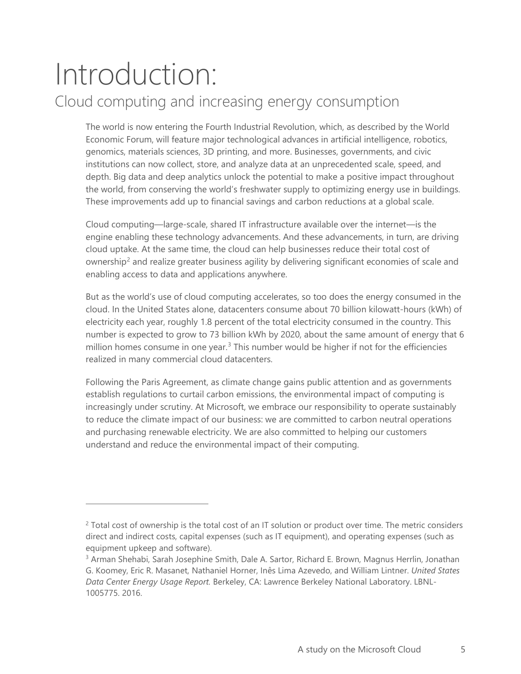### <span id="page-4-0"></span>Introduction: Cloud computing and increasing energy consumption

The world is now entering the Fourth Industrial Revolution, which, as described by the World Economic Forum, will feature major technological advances in artificial intelligence, robotics, genomics, materials sciences, 3D printing, and more. Businesses, governments, and civic institutions can now collect, store, and analyze data at an unprecedented scale, speed, and depth. Big data and deep analytics unlock the potential to make a positive impact throughout the world, from conserving the world's freshwater supply to optimizing energy use in buildings. These improvements add up to financial savings and carbon reductions at a global scale.

Cloud computing—large-scale, shared IT infrastructure available over the internet—is the engine enabling these technology advancements. And these advancements, in turn, are driving cloud uptake. At the same time, the cloud can help businesses reduce their total cost of ownership<sup>[2](#page-4-1)</sup> and realize greater business agility by delivering significant economies of scale and enabling access to data and applications anywhere.

But as the world's use of cloud computing accelerates, so too does the energy consumed in the cloud. In the United States alone, datacenters consume about 70 billion kilowatt-hours (kWh) of electricity each year, roughly 1.8 percent of the total electricity consumed in the country. This number is expected to grow to 73 billion kWh by 2020, about the same amount of energy that 6 million homes consume in one year.<sup>[3](#page-4-2)</sup> This number would be higher if not for the efficiencies realized in many commercial cloud datacenters.

Following the Paris Agreement, as climate change gains public attention and as governments establish regulations to curtail carbon emissions, the environmental impact of computing is increasingly under scrutiny. At Microsoft, we embrace our responsibility to operate sustainably to reduce the climate impact of our business: we are committed to carbon neutral operations and purchasing renewable electricity. We are also committed to helping our customers understand and reduce the environmental impact of their computing.

<span id="page-4-1"></span><sup>&</sup>lt;sup>2</sup> Total cost of ownership is the total cost of an IT solution or product over time. The metric considers direct and indirect costs, capital expenses (such as IT equipment), and operating expenses (such as equipment upkeep and software).

<span id="page-4-2"></span><sup>&</sup>lt;sup>3</sup> Arman Shehabi, Sarah Josephine Smith, Dale A. Sartor, Richard E. Brown, Magnus Herrlin, Jonathan G. Koomey, Eric R. Masanet, Nathaniel Horner, Inês Lima Azevedo, and William Lintner. *United States Data Center Energy Usage Report.* Berkeley, CA: Lawrence Berkeley National Laboratory. LBNL-1005775. 2016.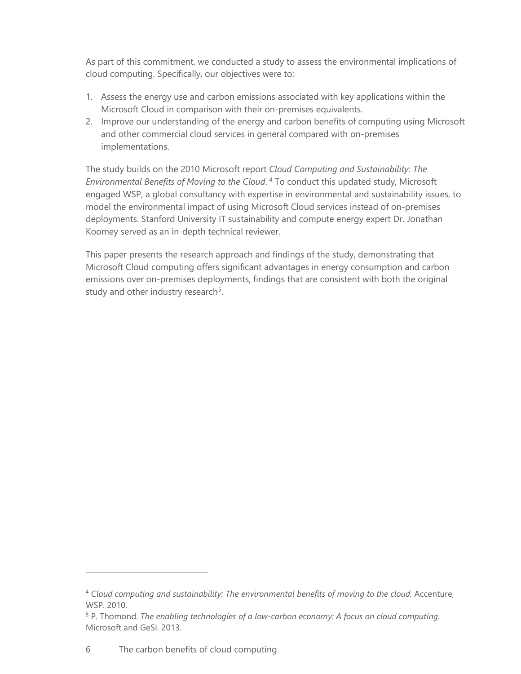As part of this commitment, we conducted a study to assess the environmental implications of cloud computing. Specifically, our objectives were to:

- 1. Assess the energy use and carbon emissions associated with key applications within the Microsoft Cloud in comparison with their on-premises equivalents.
- 2. Improve our understanding of the energy and carbon benefits of computing using Microsoft and other commercial cloud services in general compared with on-premises implementations.

The study builds on the 2010 Microsoft report *Cloud Computing and Sustainability: The Environmental Benefits of Moving to the Cloud*. [4](#page-5-0) To conduct this updated study, Microsoft engaged WSP, a global consultancy with expertise in environmental and sustainability issues, to model the environmental impact of using Microsoft Cloud services instead of on-premises deployments. Stanford University IT sustainability and compute energy expert Dr. Jonathan Koomey served as an in-depth technical reviewer.

This paper presents the research approach and findings of the study, demonstrating that Microsoft Cloud computing offers significant advantages in energy consumption and carbon emissions over on-premises deployments, findings that are consistent with both the original study and other industry research<sup>[5](#page-5-1)</sup>.

<span id="page-5-0"></span><sup>4</sup> *Cloud computing and sustainability: The environmental benefits of moving to the cloud.* Accenture, WSP. 2010.

<span id="page-5-1"></span><sup>5</sup> P. Thomond. *The enabling technologies of a low-carbon economy: A focus on cloud computing.* Microsoft and GeSI. 2013.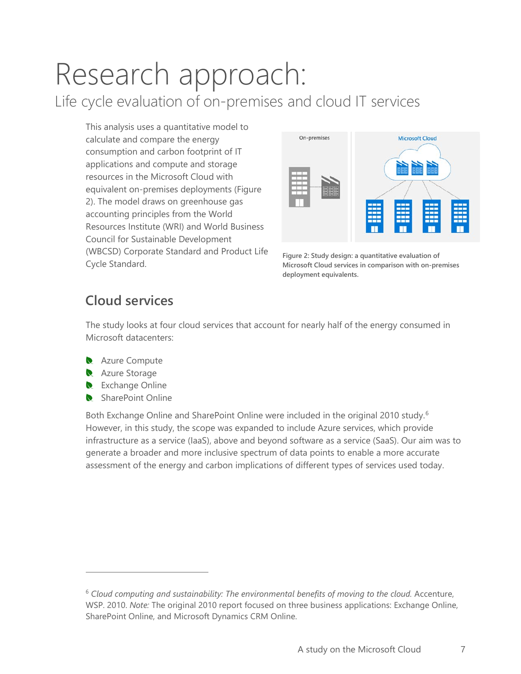# <span id="page-6-0"></span>Research approach:

Life cycle evaluation of on-premises and cloud IT services

This analysis uses a quantitative model to calculate and compare the energy consumption and carbon footprint of IT applications and compute and storage resources in the Microsoft Cloud with equivalent on-premises deployments [\(Figure](#page-6-2)  [2\)](#page-6-2). The model draws on greenhouse gas accounting principles from the World Resources Institute (WRI) and World Business Council for Sustainable Development (WBCSD) Corporate Standard and Product Life Cycle Standard.



<span id="page-6-2"></span>**Figure 2: Study design: a quantitative evaluation of Microsoft Cloud services in comparison with on-premises deployment equivalents.** 

#### <span id="page-6-1"></span>**Cloud services**

The study looks at four cloud services that account for nearly half of the energy consumed in Microsoft datacenters:

- **Azure Compute**
- Azure Storage

 $\overline{a}$ 

- Exchange Online
- SharePoint Online

<span id="page-6-4"></span>Both Exchange Online and SharePoint Online were included in the original 2010 study.<sup>[6](#page-6-3)</sup> However, in this study, the scope was expanded to include Azure services, which provide infrastructure as a service (IaaS), above and beyond software as a service (SaaS). Our aim was to generate a broader and more inclusive spectrum of data points to enable a more accurate assessment of the energy and carbon implications of different types of services used today.

<span id="page-6-3"></span><sup>6</sup> *Cloud computing and sustainability: The environmental benefits of moving to the cloud.* Accenture, WSP. 2010. *Note:* The original 2010 report focused on three business applications: Exchange Online, SharePoint Online, and Microsoft Dynamics CRM Online.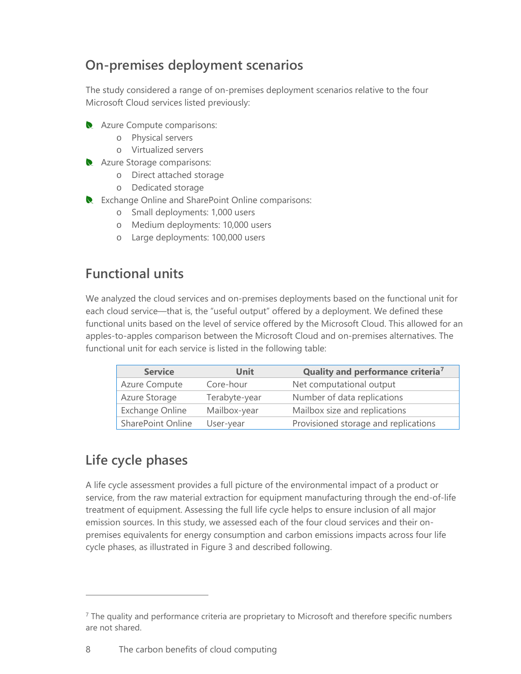#### <span id="page-7-0"></span>**On-premises deployment scenarios**

The study considered a range of on-premises deployment scenarios relative to the four Microsoft Cloud services listed previously:

- **Azure Compute comparisons:** 
	- o Physical servers
	- o Virtualized servers
- **Azure Storage comparisons:** 
	- o Direct attached storage
	- o Dedicated storage
- Exchange Online and SharePoint Online comparisons:
	- o Small deployments: 1,000 users
	- o Medium deployments: 10,000 users
	- o Large deployments: 100,000 users

#### <span id="page-7-1"></span>**Functional units**

We analyzed the cloud services and on-premises deployments based on the functional unit for each cloud service—that is, the "useful output" offered by a deployment. We defined these functional units based on the level of service offered by the Microsoft Cloud. This allowed for an apples-to-apples comparison between the Microsoft Cloud and on-premises alternatives. The functional unit for each service is listed in the following table:

| <b>Service</b>           | Unit          | Quality and performance criteria <sup>7</sup> |
|--------------------------|---------------|-----------------------------------------------|
| <b>Azure Compute</b>     | Core-hour     | Net computational output                      |
| Azure Storage            | Terabyte-year | Number of data replications                   |
| Exchange Online          | Mailbox-year  | Mailbox size and replications                 |
| <b>SharePoint Online</b> | User-year     | Provisioned storage and replications          |

#### <span id="page-7-2"></span>**Life cycle phases**

 $\overline{a}$ 

A life cycle assessment provides a full picture of the environmental impact of a product or service, from the raw material extraction for equipment manufacturing through the end-of-life treatment of equipment. Assessing the full life cycle helps to ensure inclusion of all major emission sources. In this study, we assessed each of the four cloud services and their onpremises equivalents for energy consumption and carbon emissions impacts across four life cycle phases, as illustrated in [Figure 3](#page-8-1) and described following.

<span id="page-7-3"></span> $<sup>7</sup>$  The quality and performance criteria are proprietary to Microsoft and therefore specific numbers</sup> are not shared.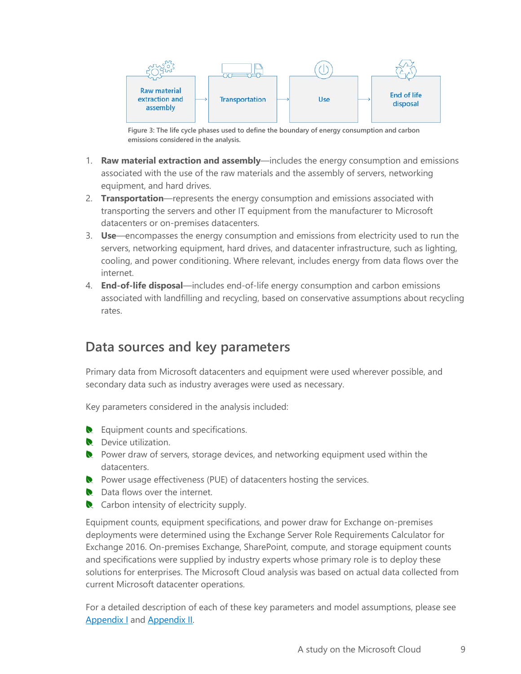

**Figure 3: The life cycle phases used to define the boundary of energy consumption and carbon emissions considered in the analysis.**

- <span id="page-8-1"></span>1. **Raw material extraction and assembly**—includes the energy consumption and emissions associated with the use of the raw materials and the assembly of servers, networking equipment, and hard drives.
- 2. **Transportation**—represents the energy consumption and emissions associated with transporting the servers and other IT equipment from the manufacturer to Microsoft datacenters or on-premises datacenters.
- 3. **Use**—encompasses the energy consumption and emissions from electricity used to run the servers, networking equipment, hard drives, and datacenter infrastructure, such as lighting, cooling, and power conditioning. Where relevant, includes energy from data flows over the internet.
- 4. **End-of-life disposal**—includes end-of-life energy consumption and carbon emissions associated with landfilling and recycling, based on conservative assumptions about recycling rates.

#### <span id="page-8-0"></span>**Data sources and key parameters**

Primary data from Microsoft datacenters and equipment were used wherever possible, and secondary data such as industry averages were used as necessary.

Key parameters considered in the analysis included:

- **R** Equipment counts and specifications.
- **Device utilization.**
- Power draw of servers, storage devices, and networking equipment used within the datacenters.
- Power usage effectiveness (PUE) of datacenters hosting the services.
- Data flows over the internet.
- Carbon intensity of electricity supply.

Equipment counts, equipment specifications, and power draw for Exchange on-premises deployments were determined using the Exchange Server Role Requirements Calculator for Exchange 2016. On-premises Exchange, SharePoint, compute, and storage equipment counts and specifications were supplied by industry experts whose primary role is to deploy these solutions for enterprises. The Microsoft Cloud analysis was based on actual data collected from current Microsoft datacenter operations.

For a detailed description of each of these key parameters and model assumptions, please see [Appendix I](#page-16-0) and [Appendix II.](#page-18-0)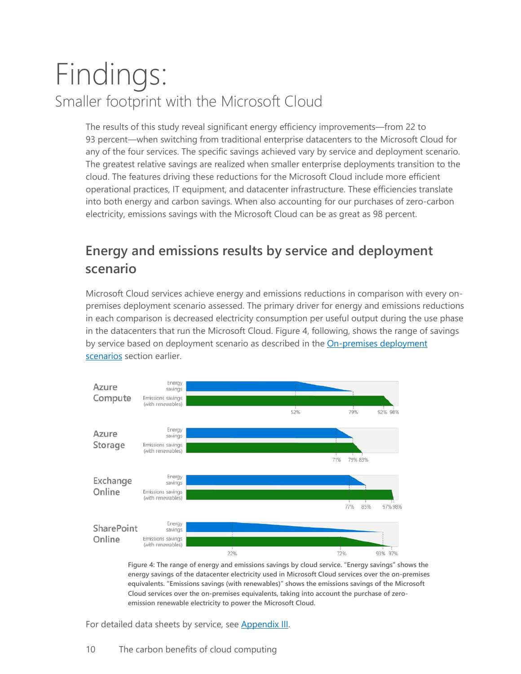### <span id="page-9-0"></span>Findings: Smaller footprint with the Microsoft Cloud

The results of this study reveal significant energy efficiency improvements—from 22 to 93 percent—when switching from traditional enterprise datacenters to the Microsoft Cloud for any of the four services. The specific savings achieved vary by service and deployment scenario. The greatest relative savings are realized when smaller enterprise deployments transition to the cloud. The features driving these reductions for the Microsoft Cloud include more efficient operational practices, IT equipment, and datacenter infrastructure. These efficiencies translate into both energy and carbon savings. When also accounting for our purchases of zero-carbon electricity, emissions savings with the Microsoft Cloud can be as great as 98 percent.

#### <span id="page-9-1"></span>**Energy and emissions results by service and deployment scenario**

Microsoft Cloud services achieve energy and emissions reductions in comparison with every onpremises deployment scenario assessed. The primary driver for energy and emissions reductions in each comparison is decreased electricity consumption per useful output during the use phase in the datacenters that run the Microsoft Cloud. Figure 4, following, shows the range of savings by service based on deployment scenario as described in the On-premises deployment [scenarios](#page-6-4) section earlier.



**Figure 4: The range of energy and emissions savings by cloud service. "Energy savings" shows the energy savings of the datacenter electricity used in Microsoft Cloud services over the on-premises equivalents. "Emissions savings (with renewables)" shows the emissions savings of the Microsoft Cloud services over the on-premises equivalents, taking into account the purchase of zeroemission renewable electricity to power the Microsoft Cloud.**

For detailed data sheets by service, see [Appendix III.](#page-19-2)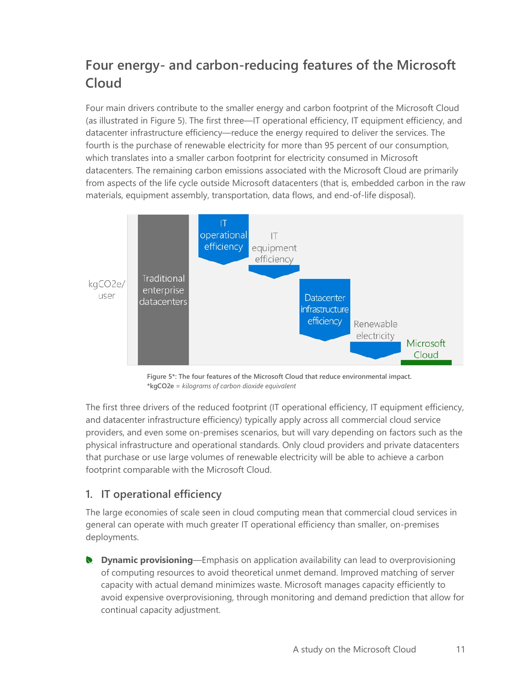#### <span id="page-10-0"></span>**Four energy- and carbon-reducing features of the Microsoft Cloud**

Four main drivers contribute to the smaller energy and carbon footprint of the Microsoft Cloud (as illustrated in [Figure 5\)](#page-10-1). The first three—IT operational efficiency, IT equipment efficiency, and datacenter infrastructure efficiency—reduce the energy required to deliver the services. The fourth is the purchase of renewable electricity for more than 95 percent of our consumption, which translates into a smaller carbon footprint for electricity consumed in Microsoft datacenters. The remaining carbon emissions associated with the Microsoft Cloud are primarily from aspects of the life cycle outside Microsoft datacenters (that is, embedded carbon in the raw materials, equipment assembly, transportation, data flows, and end-of-life disposal).



**Figure 5\*: The four features of the Microsoft Cloud that reduce environmental impact. \*kgCO2e** *= kilograms of carbon dioxide equivalent*

<span id="page-10-1"></span>The first three drivers of the reduced footprint (IT operational efficiency, IT equipment efficiency, and datacenter infrastructure efficiency) typically apply across all commercial cloud service providers, and even some on-premises scenarios, but will vary depending on factors such as the physical infrastructure and operational standards. Only cloud providers and private datacenters that purchase or use large volumes of renewable electricity will be able to achieve a carbon footprint comparable with the Microsoft Cloud.

#### **1. IT operational efficiency**

The large economies of scale seen in cloud computing mean that commercial cloud services in general can operate with much greater IT operational efficiency than smaller, on-premises deployments.

**Dynamic provisioning**—Emphasis on application availability can lead to overprovisioning of computing resources to avoid theoretical unmet demand. Improved matching of server capacity with actual demand minimizes waste. Microsoft manages capacity efficiently to avoid expensive overprovisioning, through monitoring and demand prediction that allow for continual capacity adjustment.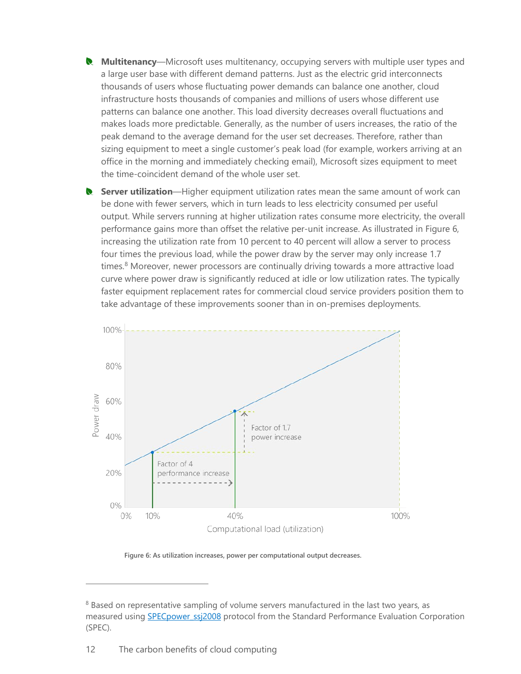- **Multitenancy**—Microsoft uses multitenancy, occupying servers with multiple user types and  $\bullet$ a large user base with different demand patterns. Just as the electric grid interconnects thousands of users whose fluctuating power demands can balance one another, cloud infrastructure hosts thousands of companies and millions of users whose different use patterns can balance one another. This load diversity decreases overall fluctuations and makes loads more predictable. Generally, as the number of users increases, the ratio of the peak demand to the average demand for the user set decreases. Therefore, rather than sizing equipment to meet a single customer's peak load (for example, workers arriving at an office in the morning and immediately checking email), Microsoft sizes equipment to meet the time-coincident demand of the whole user set.
- **Server utilization**—Higher equipment utilization rates mean the same amount of work can be done with fewer servers, which in turn leads to less electricity consumed per useful output. While servers running at higher utilization rates consume more electricity, the overall performance gains more than offset the relative per-unit increase. As illustrated in [Figure 6,](#page-11-0)  increasing the utilization rate from 10 percent to 40 percent will allow a server to process four times the previous load, while the power draw by the server may only increase 1.7 times. [8](#page-11-1) Moreover, newer processors are continually driving towards a more attractive load curve where power draw is significantly reduced at idle or low utilization rates. The typically faster equipment replacement rates for commercial cloud service providers position them to take advantage of these improvements sooner than in on-premises deployments.



**Figure 6: As utilization increases, power per computational output decreases.**

<span id="page-11-1"></span><span id="page-11-0"></span><sup>&</sup>lt;sup>8</sup> Based on representative sampling of volume servers manufactured in the last two years, as measured using **SPECpower\_ssj2008** protocol from the Standard Performance Evaluation Corporation (SPEC).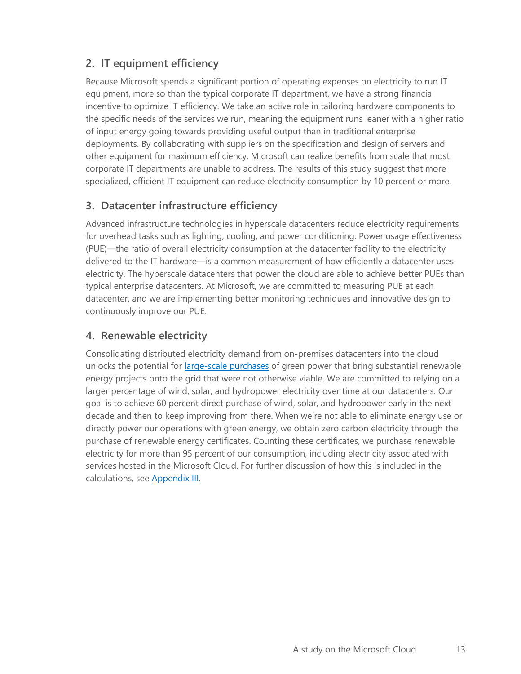#### **2. IT equipment efficiency**

Because Microsoft spends a significant portion of operating expenses on electricity to run IT equipment, more so than the typical corporate IT department, we have a strong financial incentive to optimize IT efficiency. We take an active role in tailoring hardware components to the specific needs of the services we run, meaning the equipment runs leaner with a higher ratio of input energy going towards providing useful output than in traditional enterprise deployments. By collaborating with suppliers on the specification and design of servers and other equipment for maximum efficiency, Microsoft can realize benefits from scale that most corporate IT departments are unable to address. The results of this study suggest that more specialized, efficient IT equipment can reduce electricity consumption by 10 percent or more.

#### **3. Datacenter infrastructure efficiency**

Advanced infrastructure technologies in hyperscale datacenters reduce electricity requirements for overhead tasks such as lighting, cooling, and power conditioning. Power usage effectiveness (PUE)—the ratio of overall electricity consumption at the datacenter facility to the electricity delivered to the IT hardware—is a common measurement of how efficiently a datacenter uses electricity. The hyperscale datacenters that power the cloud are able to achieve better PUEs than typical enterprise datacenters. At Microsoft, we are committed to measuring PUE at each datacenter, and we are implementing better monitoring techniques and innovative design to continuously improve our PUE.

#### <span id="page-12-0"></span>**4. Renewable electricity**

Consolidating distributed electricity demand from on-premises datacenters into the cloud unlocks the potential for *large-scale purchases* of green power that bring substantial renewable energy projects onto the grid that were not otherwise viable. We are committed to relying on a larger percentage of wind, solar, and hydropower electricity over time at our datacenters. Our goal is to achieve 60 percent direct purchase of wind, solar, and hydropower early in the next decade and then to keep improving from there. When we're not able to eliminate energy use or directly power our operations with green energy, we obtain zero carbon electricity through the purchase of renewable energy certificates. Counting these certificates, we purchase renewable electricity for more than 95 percent of our consumption, including electricity associated with services hosted in the Microsoft Cloud. For further discussion of how this is included in the calculations, see [Appendix III.](#page-19-2)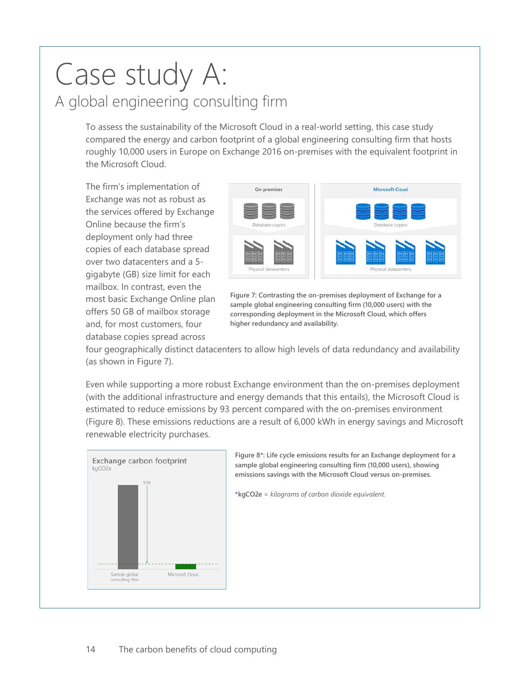### <span id="page-13-0"></span>Case study A: A global engineering consulting firm

To assess the sustainability of the Microsoft Cloud in a real-world setting, this case study compared the energy and carbon footprint of a global engineering consulting firm that hosts roughly 10,000 users in Europe on Exchange 2016 on-premises with the equivalent footprint in the Microsoft Cloud.

The firm's implementation of Exchange was not as robust as the services offered by Exchange Online because the firm's deployment only had three copies of each database spread over two datacenters and a 5 gigabyte (GB) size limit for each mailbox. In contrast, even the most basic Exchange Online plan offers 50 GB of mailbox storage and, for most customers, four database copies spread across



<span id="page-13-1"></span>**Figure 7: Contrasting the on-premises deployment of Exchange for a sample global engineering consulting firm (10,000 users) with the corresponding deployment in the Microsoft Cloud, which offers higher redundancy and availability.** 

four geographically distinct datacenters to allow high levels of data redundancy and availability (as shown in [Figure 7\)](#page-13-1).

Even while supporting a more robust Exchange environment than the on-premises deployment (with the additional infrastructure and energy demands that this entails), the Microsoft Cloud is estimated to reduce emissions by 93 percent compared with the on-premises environment [\(Figure 8\)](#page-13-2). These emissions reductions are a result of 6,000 kWh in energy savings and Microsoft renewable electricity purchases.



<span id="page-13-2"></span>**Figure 8\*: Life cycle emissions results for an Exchange deployment for a sample global engineering consulting firm (10,000 users), showing emissions savings with the Microsoft Cloud versus on-premises.**

**\*kgCO2e** *= kilograms of carbon dioxide equivalent.*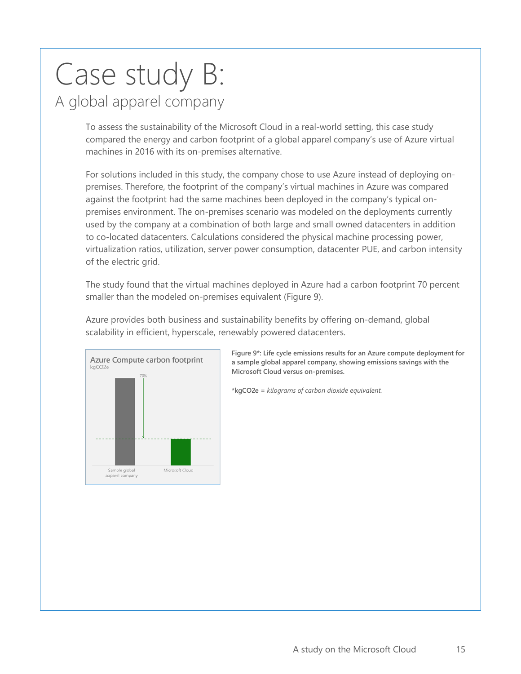### <span id="page-14-0"></span>Case study B: A global apparel company

To assess the sustainability of the Microsoft Cloud in a real-world setting, this case study compared the energy and carbon footprint of a global apparel company's use of Azure virtual machines in 2016 with its on-premises alternative.

For solutions included in this study, the company chose to use Azure instead of deploying onpremises. Therefore, the footprint of the company's virtual machines in Azure was compared against the footprint had the same machines been deployed in the company's typical onpremises environment. The on-premises scenario was modeled on the deployments currently used by the company at a combination of both large and small owned datacenters in addition to co-located datacenters. Calculations considered the physical machine processing power, virtualization ratios, utilization, server power consumption, datacenter PUE, and carbon intensity of the electric grid.

The study found that the virtual machines deployed in Azure had a carbon footprint 70 percent smaller than the modeled on-premises equivalent [\(Figure 9\)](#page-14-1).

Azure provides both business and sustainability benefits by offering on-demand, global scalability in efficient, hyperscale, renewably powered datacenters.



<span id="page-14-1"></span>**Figure 9\*: Life cycle emissions results for an Azure compute deployment for a sample global apparel company, showing emissions savings with the Microsoft Cloud versus on-premises.**

**\*kgCO2e** *= kilograms of carbon dioxide equivalent.*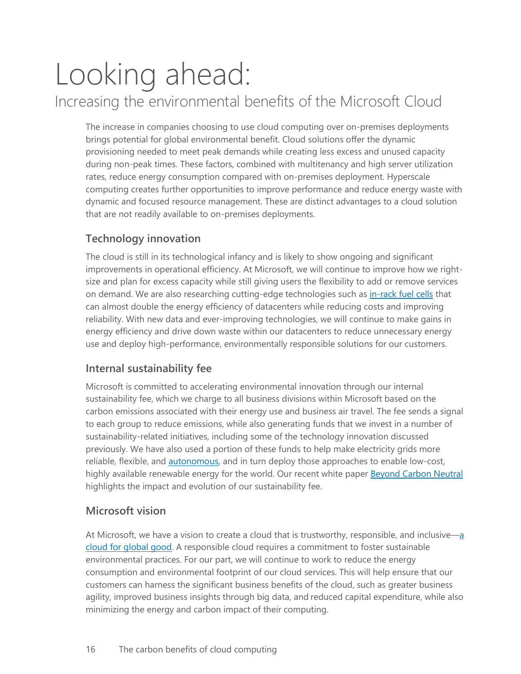### <span id="page-15-0"></span>Looking ahead: Increasing the environmental benefits of the Microsoft Cloud

The increase in companies choosing to use cloud computing over on-premises deployments brings potential for global environmental benefit. Cloud solutions offer the dynamic provisioning needed to meet peak demands while creating less excess and unused capacity during non-peak times. These factors, combined with multitenancy and high server utilization rates, reduce energy consumption compared with on-premises deployment. Hyperscale computing creates further opportunities to improve performance and reduce energy waste with dynamic and focused resource management. These are distinct advantages to a cloud solution that are not readily available to on-premises deployments.

#### **Technology innovation**

The cloud is still in its technological infancy and is likely to show ongoing and significant improvements in operational efficiency. At Microsoft, we will continue to improve how we rightsize and plan for excess capacity while still giving users the flexibility to add or remove services on demand. We are also researching cutting-edge technologies such as [in-rack fuel cells](https://blogs.microsoft.com/green/2017/09/24/redesigning-datacenters-advanced-energy-future/) that can almost double the energy efficiency of datacenters while reducing costs and improving reliability. With new data and ever-improving technologies, we will continue to make gains in energy efficiency and drive down waste within our datacenters to reduce unnecessary energy use and deploy high-performance, environmentally responsible solutions for our customers.

#### **Internal sustainability fee**

Microsoft is committed to accelerating environmental innovation through our internal sustainability fee, which we charge to all business divisions within Microsoft based on the carbon emissions associated with their energy use and business air travel. The fee sends a signal to each group to reduce emissions, while also generating funds that we invest in a number of sustainability-related initiatives, including some of the technology innovation discussed previously. We have also used a portion of these funds to help make electricity grids more reliable, flexible, and **autonomous**, and in turn deploy those approaches to enable low-cost, highly available renewable energy for the world. Our recent white paper [Beyond Carbon Neutral](https://aka.ms/beyond) highlights the impact and evolution of our sustainability fee.

#### **Microsoft vision**

At Microsoft, we have a vision to create a cloud that is trustworthy, responsible, and inclusive[—a](https://news.microsoft.com/cloudforgood/)  [cloud for global good.](https://news.microsoft.com/cloudforgood/) A responsible cloud requires a commitment to foster sustainable environmental practices. For our part, we will continue to work to reduce the energy consumption and environmental footprint of our cloud services. This will help ensure that our customers can harness the significant business benefits of the cloud, such as greater business agility, improved business insights through big data, and reduced capital expenditure, while also minimizing the energy and carbon impact of their computing.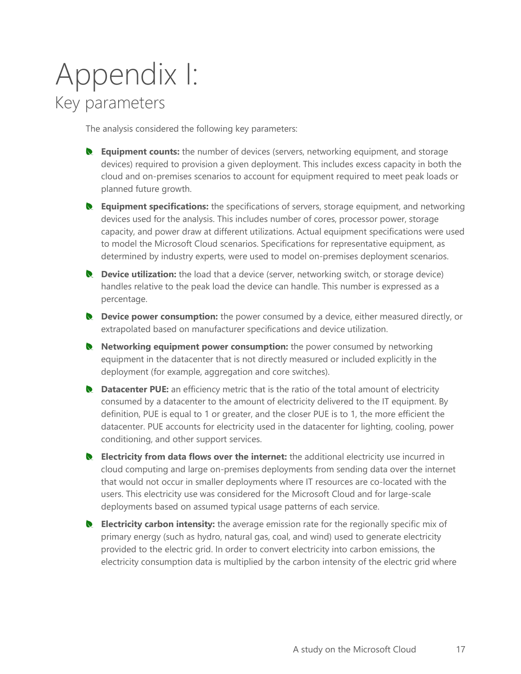### <span id="page-16-0"></span>Appendix I: Key parameters

The analysis considered the following key parameters:

- **Equipment counts:** the number of devices (servers, networking equipment, and storage devices) required to provision a given deployment. This includes excess capacity in both the cloud and on-premises scenarios to account for equipment required to meet peak loads or planned future growth.
- **R** Equipment specifications: the specifications of servers, storage equipment, and networking devices used for the analysis. This includes number of cores, processor power, storage capacity, and power draw at different utilizations. Actual equipment specifications were used to model the Microsoft Cloud scenarios. Specifications for representative equipment, as determined by industry experts, were used to model on-premises deployment scenarios.
- **Q** Device utilization: the load that a device (server, networking switch, or storage device) handles relative to the peak load the device can handle. This number is expressed as a percentage.
- **Let U.** Device power consumption: the power consumed by a device, either measured directly, or extrapolated based on manufacturer specifications and device utilization.
- **Networking equipment power consumption:** the power consumed by networking equipment in the datacenter that is not directly measured or included explicitly in the deployment (for example, aggregation and core switches).
- **Datacenter PUE:** an efficiency metric that is the ratio of the total amount of electricity consumed by a datacenter to the amount of electricity delivered to the IT equipment. By definition, PUE is equal to 1 or greater, and the closer PUE is to 1, the more efficient the datacenter. PUE accounts for electricity used in the datacenter for lighting, cooling, power conditioning, and other support services.
- **R** Electricity from data flows over the internet: the additional electricity use incurred in cloud computing and large on-premises deployments from sending data over the internet that would not occur in smaller deployments where IT resources are co-located with the users. This electricity use was considered for the Microsoft Cloud and for large-scale deployments based on assumed typical usage patterns of each service.
- **Electricity carbon intensity:** the average emission rate for the regionally specific mix of primary energy (such as hydro, natural gas, coal, and wind) used to generate electricity provided to the electric grid. In order to convert electricity into carbon emissions, the electricity consumption data is multiplied by the carbon intensity of the electric grid where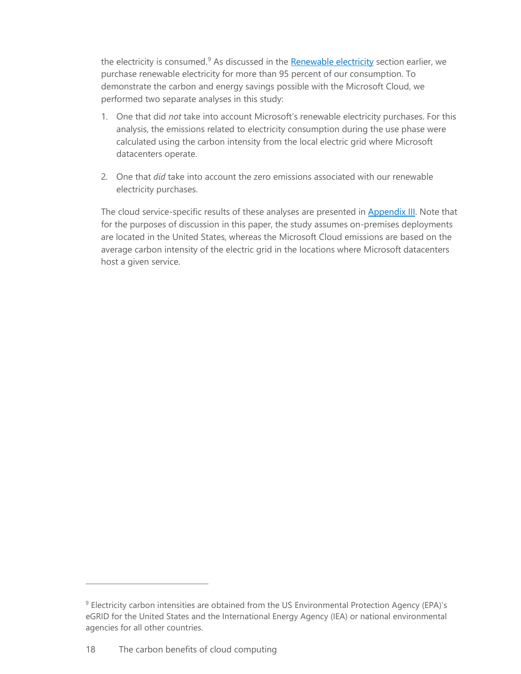the electricity is consumed.<sup>[9](#page-17-0)</sup> As discussed in the **Renewable electricity** section earlier, we purchase renewable electricity for more than 95 percent of our consumption. To demonstrate the carbon and energy savings possible with the Microsoft Cloud, we performed two separate analyses in this study:

- 1. One that did *not* take into account Microsoft's renewable electricity purchases. For this analysis, the emissions related to electricity consumption during the use phase were calculated using the carbon intensity from the local electric grid where Microsoft datacenters operate.
- 2. One that *did* take into account the zero emissions associated with our renewable electricity purchases.

The cloud service-specific results of these analyses are presented in **Appendix III**. Note that for the purposes of discussion in this paper, the study assumes on-premises deployments are located in the United States, whereas the Microsoft Cloud emissions are based on the average carbon intensity of the electric grid in the locations where Microsoft datacenters host a given service.

<span id="page-17-0"></span><sup>&</sup>lt;sup>9</sup> Electricity carbon intensities are obtained from the US Environmental Protection Agency (EPA)'s eGRID for the United States and the International Energy Agency (IEA) or national environmental agencies for all other countries.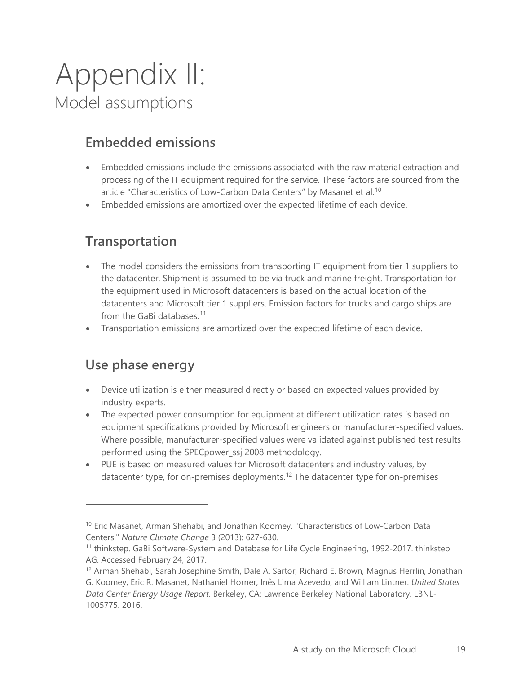### <span id="page-18-0"></span>Appendix II: Model assumptions

#### <span id="page-18-1"></span>**Embedded emissions**

- Embedded emissions include the emissions associated with the raw material extraction and processing of the IT equipment required for the service. These factors are sourced from the article "Characteristics of Low-Carbon Data Centers" by Masanet et al.<sup>[10](#page-18-4)</sup>
- <span id="page-18-2"></span>• Embedded emissions are amortized over the expected lifetime of each device.

#### **Transportation**

- The model considers the emissions from transporting IT equipment from tier 1 suppliers to the datacenter. Shipment is assumed to be via truck and marine freight. Transportation for the equipment used in Microsoft datacenters is based on the actual location of the datacenters and Microsoft tier 1 suppliers. Emission factors for trucks and cargo ships are from the GaBi databases.<sup>[11](#page-18-5)</sup>
- <span id="page-18-3"></span>• Transportation emissions are amortized over the expected lifetime of each device.

#### **Use phase energy**

- Device utilization is either measured directly or based on expected values provided by industry experts.
- The expected power consumption for equipment at different utilization rates is based on equipment specifications provided by Microsoft engineers or manufacturer-specified values. Where possible, manufacturer-specified values were validated against published test results performed using the SPECpower\_ssj 2008 methodology.
- PUE is based on measured values for Microsoft datacenters and industry values, by datacenter type, for on-premises deployments.<sup>[12](#page-18-6)</sup> The datacenter type for on-premises

<span id="page-18-4"></span><sup>&</sup>lt;sup>10</sup> Eric Masanet, Arman Shehabi, and Jonathan Koomey. "Characteristics of Low-Carbon Data Centers." *Nature Climate Change* 3 (2013): 627-630.

<span id="page-18-5"></span><sup>&</sup>lt;sup>11</sup> thinkstep. GaBi Software-System and Database for Life Cycle Engineering, 1992-2017. thinkstep AG. Accessed February 24, 2017.

<span id="page-18-6"></span><sup>&</sup>lt;sup>12</sup> Arman Shehabi, Sarah Josephine Smith, Dale A. Sartor, Richard E. Brown, Magnus Herrlin, Jonathan G. Koomey, Eric R. Masanet, Nathaniel Horner, Inês Lima Azevedo, and William Lintner. *United States Data Center Energy Usage Report.* Berkeley, CA: Lawrence Berkeley National Laboratory. LBNL-1005775. 2016.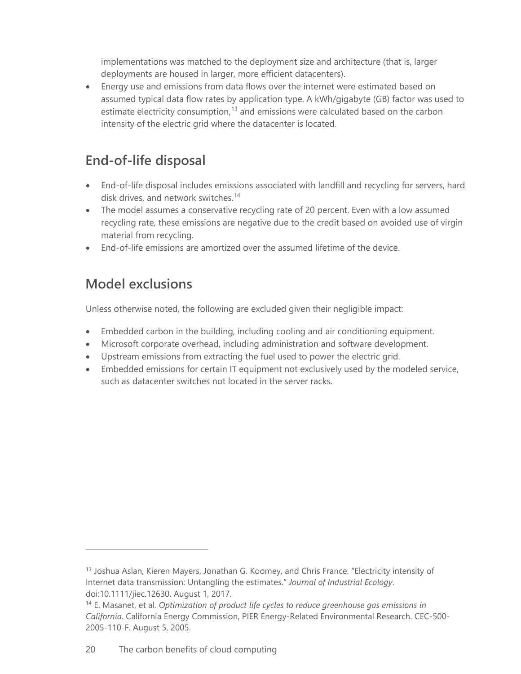implementations was matched to the deployment size and architecture (that is, larger deployments are housed in larger, more efficient datacenters).

• Energy use and emissions from data flows over the internet were estimated based on assumed typical data flow rates by application type. A kWh/gigabyte (GB) factor was used to estimate electricity consumption,<sup>[13](#page-19-3)</sup> and emissions were calculated based on the carbon intensity of the electric grid where the datacenter is located.

#### <span id="page-19-0"></span>**End-of-life disposal**

- End-of-life disposal includes emissions associated with landfill and recycling for servers, hard disk drives, and network switches. [14](#page-19-4)
- The model assumes a conservative recycling rate of 20 percent. Even with a low assumed recycling rate, these emissions are negative due to the credit based on avoided use of virgin material from recycling.
- <span id="page-19-1"></span>• End-of-life emissions are amortized over the assumed lifetime of the device.

#### **Model exclusions**

 $\overline{a}$ 

Unless otherwise noted, the following are excluded given their negligible impact:

- Embedded carbon in the building, including cooling and air conditioning equipment.
- Microsoft corporate overhead, including administration and software development.
- Upstream emissions from extracting the fuel used to power the electric grid.
- <span id="page-19-2"></span>• Embedded emissions for certain IT equipment not exclusively used by the modeled service, such as datacenter switches not located in the server racks.

<span id="page-19-3"></span><sup>&</sup>lt;sup>13</sup> Joshua Aslan, Kieren Mayers, Jonathan G. Koomey, and Chris France. "Electricity intensity of Internet data transmission: Untangling the estimates." *Journal of Industrial Ecology*. doi:10.1111/jiec.12630. August 1, 2017.

<span id="page-19-4"></span><sup>14</sup> E. Masanet, et al. *Optimization of product life cycles to reduce greenhouse gas emissions in California*. California Energy Commission, PIER Energy-Related Environmental Research. CEC-500- 2005-110-F. August 5, 2005.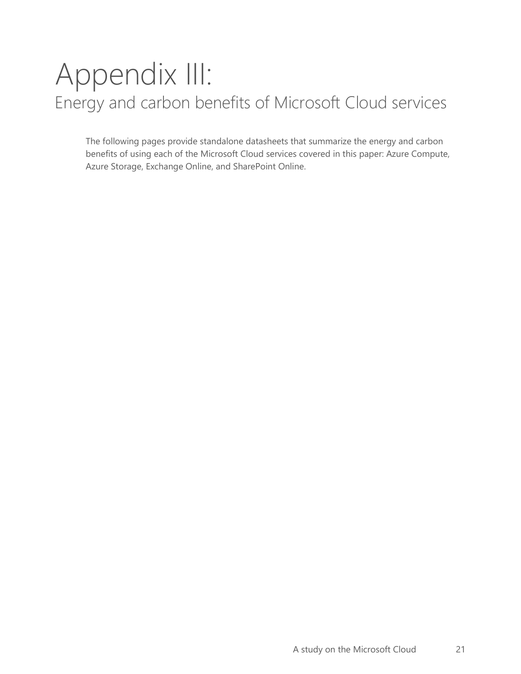### <span id="page-20-0"></span>Appendix III: Energy and carbon benefits of Microsoft Cloud services

The following pages provide standalone datasheets that summarize the energy and carbon benefits of using each of the Microsoft Cloud services covered in this paper: Azure Compute, Azure Storage, Exchange Online, and SharePoint Online.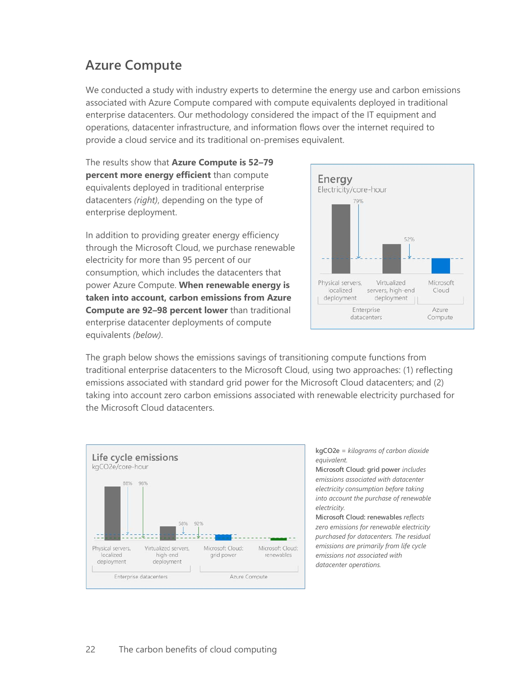#### <span id="page-21-0"></span>**Azure Compute**

We conducted a study with industry experts to determine the energy use and carbon emissions associated with Azure Compute compared with compute equivalents deployed in traditional enterprise datacenters. Our methodology considered the impact of the IT equipment and operations, datacenter infrastructure, and information flows over the internet required to provide a cloud service and its traditional on-premises equivalent.

The results show that **Azure Compute is 52–79 percent more energy efficient** than compute equivalents deployed in traditional enterprise datacenters *(right)*, depending on the type of enterprise deployment.

In addition to providing greater energy efficiency through the Microsoft Cloud, we purchase renewable electricity for more than 95 percent of our consumption, which includes the datacenters that power Azure Compute. **When renewable energy is taken into account, carbon emissions from Azure Compute are 92–98 percent lower** than traditional enterprise datacenter deployments of compute equivalents *(below)*.



The graph below shows the emissions savings of transitioning compute functions from traditional enterprise datacenters to the Microsoft Cloud, using two approaches: (1) reflecting emissions associated with standard grid power for the Microsoft Cloud datacenters; and (2) taking into account zero carbon emissions associated with renewable electricity purchased for the Microsoft Cloud datacenters.



**kgCO2e** *= kilograms of carbon dioxide equivalent.*

**Microsoft Cloud: grid power** *includes emissions associated with datacenter electricity consumption before taking into account the purchase of renewable electricity.*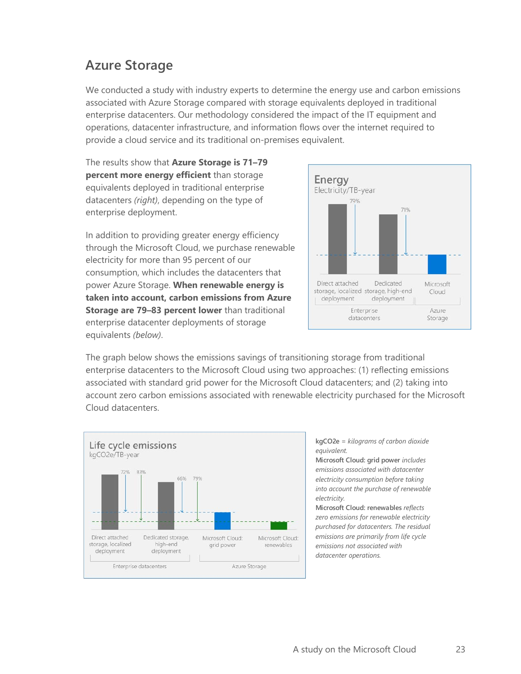#### <span id="page-22-0"></span>**Azure Storage**

We conducted a study with industry experts to determine the energy use and carbon emissions associated with Azure Storage compared with storage equivalents deployed in traditional enterprise datacenters. Our methodology considered the impact of the IT equipment and operations, datacenter infrastructure, and information flows over the internet required to provide a cloud service and its traditional on-premises equivalent.

The results show that **Azure Storage is 71–79 percent more energy efficient** than storage equivalents deployed in traditional enterprise datacenters *(right)*, depending on the type of enterprise deployment.

In addition to providing greater energy efficiency through the Microsoft Cloud, we purchase renewable electricity for more than 95 percent of our consumption, which includes the datacenters that power Azure Storage. **When renewable energy is taken into account, carbon emissions from Azure Storage are 79–83 percent lower** than traditional enterprise datacenter deployments of storage equivalents *(below)*.



The graph below shows the emissions savings of transitioning storage from traditional enterprise datacenters to the Microsoft Cloud using two approaches: (1) reflecting emissions associated with standard grid power for the Microsoft Cloud datacenters; and (2) taking into account zero carbon emissions associated with renewable electricity purchased for the Microsoft Cloud datacenters.



**kgCO2e** *= kilograms of carbon dioxide equivalent.*

**Microsoft Cloud: grid power** *includes emissions associated with datacenter electricity consumption before taking into account the purchase of renewable electricity.*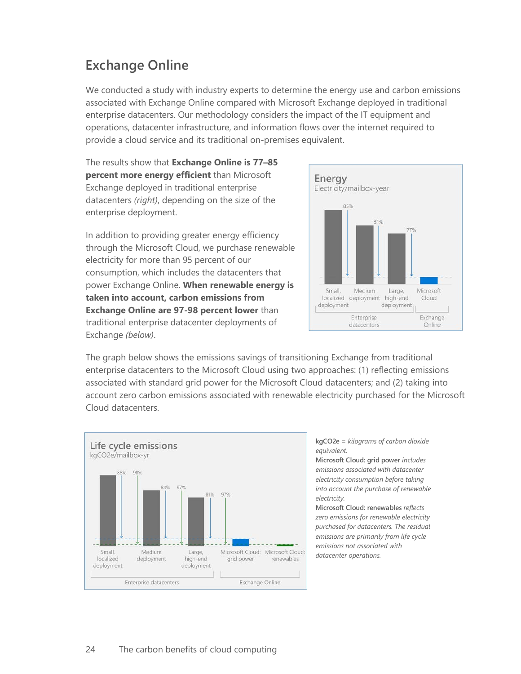#### <span id="page-23-0"></span>**Exchange Online**

We conducted a study with industry experts to determine the energy use and carbon emissions associated with Exchange Online compared with Microsoft Exchange deployed in traditional enterprise datacenters. Our methodology considers the impact of the IT equipment and operations, datacenter infrastructure, and information flows over the internet required to provide a cloud service and its traditional on-premises equivalent.

The results show that **Exchange Online is 77–85 percent more energy efficient** than Microsoft Exchange deployed in traditional enterprise datacenters *(right)*, depending on the size of the enterprise deployment.

In addition to providing greater energy efficiency through the Microsoft Cloud, we purchase renewable electricity for more than 95 percent of our consumption, which includes the datacenters that power Exchange Online. **When renewable energy is taken into account, carbon emissions from Exchange Online are 97-98 percent lower** than traditional enterprise datacenter deployments of Exchange *(below)*.



The graph below shows the emissions savings of transitioning Exchange from traditional enterprise datacenters to the Microsoft Cloud using two approaches: (1) reflecting emissions associated with standard grid power for the Microsoft Cloud datacenters; and (2) taking into account zero carbon emissions associated with renewable electricity purchased for the Microsoft Cloud datacenters.



**kgCO2e** *= kilograms of carbon dioxide equivalent.*

**Microsoft Cloud: grid power** *includes emissions associated with datacenter electricity consumption before taking into account the purchase of renewable electricity.*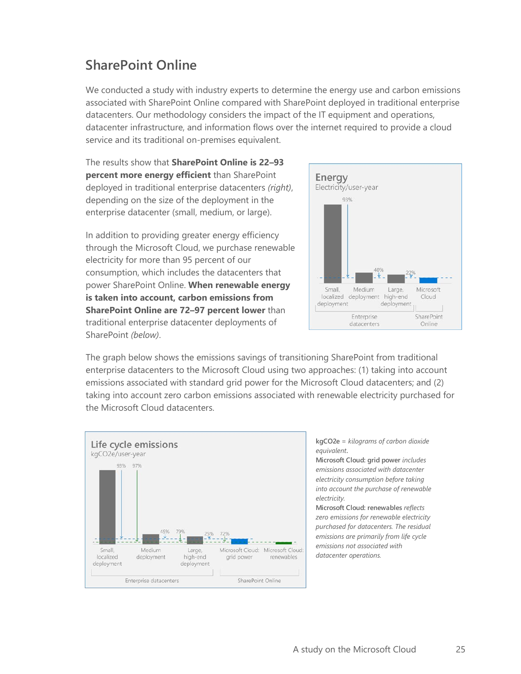#### <span id="page-24-0"></span>**SharePoint Online**

We conducted a study with industry experts to determine the energy use and carbon emissions associated with SharePoint Online compared with SharePoint deployed in traditional enterprise datacenters. Our methodology considers the impact of the IT equipment and operations, datacenter infrastructure, and information flows over the internet required to provide a cloud service and its traditional on-premises equivalent.

The results show that **SharePoint Online is 22–93 percent more energy efficient** than SharePoint deployed in traditional enterprise datacenters *(right)*, depending on the size of the deployment in the enterprise datacenter (small, medium, or large).

In addition to providing greater energy efficiency through the Microsoft Cloud, we purchase renewable electricity for more than 95 percent of our consumption, which includes the datacenters that power SharePoint Online. **When renewable energy is taken into account, carbon emissions from SharePoint Online are 72–97 percent lower** than traditional enterprise datacenter deployments of SharePoint *(below)*.



The graph below shows the emissions savings of transitioning SharePoint from traditional enterprise datacenters to the Microsoft Cloud using two approaches: (1) taking into account emissions associated with standard grid power for the Microsoft Cloud datacenters; and (2) taking into account zero carbon emissions associated with renewable electricity purchased for the Microsoft Cloud datacenters.



**kgCO2e** *= kilograms of carbon dioxide equivalent***.**

**Microsoft Cloud: grid power** *includes emissions associated with datacenter electricity consumption before taking into account the purchase of renewable electricity.*